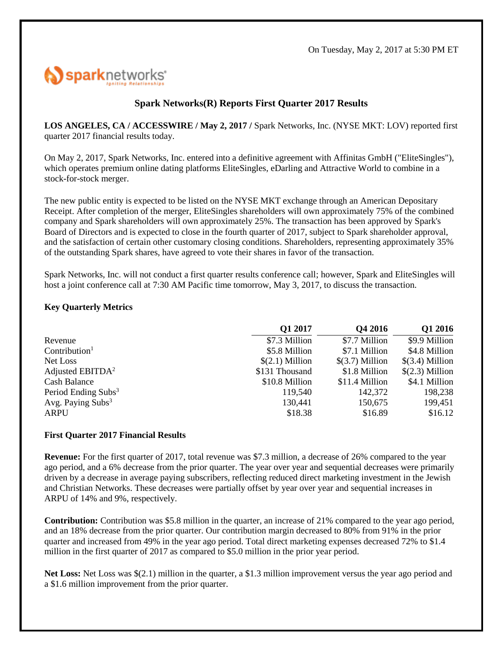

# **Spark Networks(R) Reports First Quarter 2017 Results**

**LOS ANGELES, CA / ACCESSWIRE / May 2, 2017 /** Spark Networks, Inc. (NYSE MKT: LOV) reported first quarter 2017 financial results today.

On May 2, 2017, Spark Networks, Inc. entered into a definitive agreement with Affinitas GmbH ("EliteSingles"), which operates premium online dating platforms EliteSingles, eDarling and Attractive World to combine in a stock-for-stock merger.

The new public entity is expected to be listed on the NYSE MKT exchange through an American Depositary Receipt. After completion of the merger, EliteSingles shareholders will own approximately 75% of the combined company and Spark shareholders will own approximately 25%. The transaction has been approved by Spark's Board of Directors and is expected to close in the fourth quarter of 2017, subject to Spark shareholder approval, and the satisfaction of certain other customary closing conditions. Shareholders, representing approximately 35% of the outstanding Spark shares, have agreed to vote their shares in favor of the transaction.

Spark Networks, Inc. will not conduct a first quarter results conference call; however, Spark and EliteSingles will host a joint conference call at 7:30 AM Pacific time tomorrow, May 3, 2017, to discuss the transaction.

### **Key Quarterly Metrics**

|                                 | Q1 2017          | Q4 2016          | Q1 2016          |
|---------------------------------|------------------|------------------|------------------|
| Revenue                         | \$7.3 Million    | \$7.7 Million    | \$9.9 Million    |
| Contribution <sup>1</sup>       | \$5.8 Million    | \$7.1 Million    | \$4.8 Million    |
| Net Loss                        | $$(2.1)$ Million | $$(3.7)$ Million | $$(3.4)$ Million |
| Adjusted $EBITDA2$              | \$131 Thousand   | \$1.8 Million    | $$(2.3)$ Million |
| Cash Balance                    | \$10.8 Million   | \$11.4 Million   | \$4.1 Million    |
| Period Ending Subs <sup>3</sup> | 119,540          | 142,372          | 198,238          |
| Avg. Paying $Subs3$             | 130,441          | 150,675          | 199,451          |
| ARPU                            | \$18.38          | \$16.89          | \$16.12          |

### **First Quarter 2017 Financial Results**

**Revenue:** For the first quarter of 2017, total revenue was \$7.3 million, a decrease of 26% compared to the year ago period, and a 6% decrease from the prior quarter. The year over year and sequential decreases were primarily driven by a decrease in average paying subscribers, reflecting reduced direct marketing investment in the Jewish and Christian Networks. These decreases were partially offset by year over year and sequential increases in ARPU of 14% and 9%, respectively.

**Contribution:** Contribution was \$5.8 million in the quarter, an increase of 21% compared to the year ago period, and an 18% decrease from the prior quarter. Our contribution margin decreased to 80% from 91% in the prior quarter and increased from 49% in the year ago period. Total direct marketing expenses decreased 72% to \$1.4 million in the first quarter of 2017 as compared to \$5.0 million in the prior year period.

**Net Loss:** Net Loss was \$(2.1) million in the quarter, a \$1.3 million improvement versus the year ago period and a \$1.6 million improvement from the prior quarter.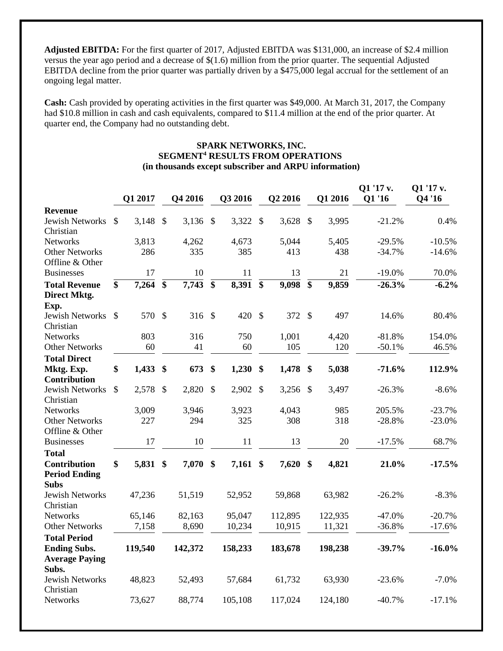**Adjusted EBITDA:** For the first quarter of 2017, Adjusted EBITDA was \$131,000, an increase of \$2.4 million versus the year ago period and a decrease of \$(1.6) million from the prior quarter. The sequential Adjusted EBITDA decline from the prior quarter was partially driven by a \$475,000 legal accrual for the settlement of an ongoing legal matter.

**Cash:** Cash provided by operating activities in the first quarter was \$49,000. At March 31, 2017, the Company had \$10.8 million in cash and cash equivalents, compared to \$11.4 million at the end of the prior quarter. At quarter end, the Company had no outstanding debt.

### **SPARK NETWORKS, INC. SEGMENT<sup>4</sup> RESULTS FROM OPERATIONS (in thousands except subscriber and ARPU information)**

|                                                          |                 | Q1 2017  |                 | Q4 2016            |                 | Q3 2016  |                           | Q2 2016 |                   | Q1 2016 | Q1 '17 v.<br><b>Q1'16</b> | Q1 '17 v.<br>Q4 '16 |
|----------------------------------------------------------|-----------------|----------|-----------------|--------------------|-----------------|----------|---------------------------|---------|-------------------|---------|---------------------------|---------------------|
| <b>Revenue</b>                                           |                 |          |                 |                    |                 |          |                           |         |                   |         |                           |                     |
| <b>Jewish Networks</b><br>Christian                      | \$              | 3,148    | $\mathcal{S}$   | 3,136              | $\mathcal{S}$   | 3,322    | $\boldsymbol{\mathsf{S}}$ | 3,628   | $\mathcal{S}$     | 3,995   | $-21.2%$                  | 0.4%                |
| <b>Networks</b>                                          |                 | 3,813    |                 | 4,262              |                 | 4,673    |                           | 5,044   |                   | 5,405   | $-29.5%$                  | $-10.5%$            |
| <b>Other Networks</b>                                    |                 | 286      |                 | 335                |                 | 385      |                           | 413     |                   | 438     | $-34.7%$                  | $-14.6%$            |
| Offline & Other                                          |                 |          |                 |                    |                 |          |                           |         |                   |         |                           |                     |
| <b>Businesses</b>                                        |                 | 17       |                 | 10                 |                 | 11       |                           | 13      |                   | 21      | $-19.0%$                  | 70.0%               |
| <b>Total Revenue</b>                                     | $\overline{\$}$ | 7,264    | $\overline{\$}$ | $\overline{7,743}$ | $\overline{\$}$ | 8,391    | $\overline{\$}$           | 9,098   | $\overline{\$}$   | 9,859   | $-26.3%$                  | $-6.2\%$            |
| Direct Mktg.<br>Exp.                                     |                 |          |                 |                    |                 |          |                           |         |                   |         |                           |                     |
| Jewish Networks                                          | <sup>\$</sup>   | 570      | $\mathcal{S}$   | $316$ \$           |                 | 420      | $\mathcal{S}$             | 372     | $\mathcal{S}$     | 497     | 14.6%                     | 80.4%               |
| Christian                                                |                 |          |                 |                    |                 |          |                           |         |                   |         |                           |                     |
| <b>Networks</b>                                          |                 | 803      |                 | 316                |                 | 750      |                           | 1,001   |                   | 4,420   | $-81.8%$                  | 154.0%              |
| <b>Other Networks</b>                                    |                 | 60       |                 | 41                 |                 | 60       |                           | 105     |                   | 120     | $-50.1%$                  | 46.5%               |
| <b>Total Direct</b>                                      |                 |          |                 |                    |                 |          |                           |         |                   |         |                           |                     |
| Mktg. Exp.<br><b>Contribution</b>                        | \$              | 1,433    | \$              | 673                | \$              | 1,230    | \$                        | 1,478   | $\boldsymbol{\$}$ | 5,038   | $-71.6%$                  | 112.9%              |
| <b>Jewish Networks</b><br>Christian                      | \$              | 2,578    | $\mathcal{S}$   | 2,820              | $\mathcal{S}$   | 2,902    | $\mathcal{S}$             | 3,256   | $\mathcal{S}$     | 3,497   | $-26.3%$                  | $-8.6%$             |
| <b>Networks</b>                                          |                 | 3,009    |                 | 3,946              |                 | 3,923    |                           | 4,043   |                   | 985     | 205.5%                    | $-23.7%$            |
| <b>Other Networks</b>                                    |                 | 227      |                 | 294                |                 | 325      |                           | 308     |                   | 318     | $-28.8%$                  | $-23.0%$            |
| Offline & Other                                          |                 |          |                 |                    |                 |          |                           |         |                   |         |                           |                     |
| <b>Businesses</b>                                        |                 | 17       |                 | 10                 |                 | 11       |                           | 13      |                   | 20      | $-17.5%$                  | 68.7%               |
| <b>Total</b>                                             |                 |          |                 |                    |                 |          |                           |         |                   |         |                           |                     |
| <b>Contribution</b>                                      | \$              | 5,831 \$ |                 | 7,070              | \$              | 7,161 \$ |                           | 7,620   | $\mathbf{\$}$     | 4,821   | 21.0%                     | $-17.5%$            |
| <b>Period Ending</b><br><b>Subs</b>                      |                 |          |                 |                    |                 |          |                           |         |                   |         |                           |                     |
| <b>Jewish Networks</b><br>Christian                      |                 | 47,236   |                 | 51,519             |                 | 52,952   |                           | 59,868  |                   | 63,982  | $-26.2%$                  | $-8.3%$             |
| <b>Networks</b>                                          |                 | 65,146   |                 | 82,163             |                 | 95,047   |                           | 112,895 |                   | 122,935 | $-47.0%$                  | $-20.7%$            |
| <b>Other Networks</b>                                    |                 | 7,158    |                 | 8,690              |                 | 10,234   |                           | 10,915  |                   | 11,321  | $-36.8%$                  | $-17.6%$            |
| <b>Total Period</b><br><b>Ending Subs.</b>               |                 | 119,540  |                 | 142,372            |                 | 158,233  |                           | 183,678 |                   | 198,238 | $-39.7%$                  | $-16.0%$            |
| <b>Average Paying</b><br>Subs.<br><b>Jewish Networks</b> |                 | 48,823   |                 | 52,493             |                 | 57,684   |                           | 61,732  |                   | 63,930  | $-23.6%$                  | $-7.0%$             |
| Christian<br>Networks                                    |                 | 73,627   |                 | 88,774             |                 | 105,108  |                           | 117,024 |                   | 124,180 | $-40.7%$                  | $-17.1%$            |
|                                                          |                 |          |                 |                    |                 |          |                           |         |                   |         |                           |                     |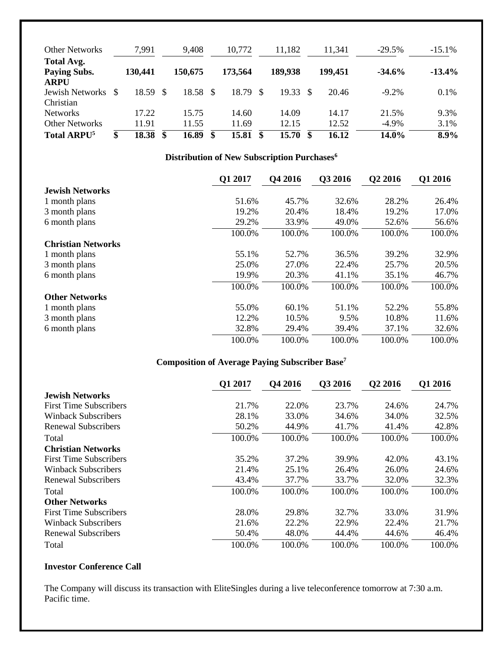| <b>Other Networks</b>                            | 7,991       |      | 9,408    |    | 10,772   |   | 11,182  |               | 11,341  | $-29.5%$ | $-15.1%$ |
|--------------------------------------------------|-------------|------|----------|----|----------|---|---------|---------------|---------|----------|----------|
| Total Avg.<br><b>Paying Subs.</b><br><b>ARPU</b> | 130,441     |      | 150,675  |    | 173,564  |   | 189,938 |               | 199,451 | $-34.6%$ | $-13.4%$ |
| Jewish Networks<br>Christian                     | 18.59       | - \$ | 18.58 \$ |    | 18.79 \$ |   | 19.33   | - \$          | 20.46   | $-9.2\%$ | $0.1\%$  |
| <b>Networks</b>                                  | 17.22       |      | 15.75    |    | 14.60    |   | 14.09   |               | 14.17   | 21.5%    | 9.3%     |
| <b>Other Networks</b>                            | 11.91       |      | 11.55    |    | 11.69    |   | 12.15   |               | 12.52   | $-4.9\%$ | 3.1%     |
| Total ARPU <sup>5</sup>                          | \$<br>18.38 | \$   | 16.89    | -S | 15.81    | S | 15.70   | $\mathbf{\$}$ | 16.12   | 14.0%    | 8.9%     |

# **Distribution of New Subscription Purchases<sup>6</sup>**

|                           | Q1 2017 | Q4 2016 | Q3 2016 | Q2 2016 | Q1 2016 |
|---------------------------|---------|---------|---------|---------|---------|
| <b>Jewish Networks</b>    |         |         |         |         |         |
| 1 month plans             | 51.6%   | 45.7%   | 32.6%   | 28.2%   | 26.4%   |
| 3 month plans             | 19.2%   | 20.4%   | 18.4%   | 19.2%   | 17.0%   |
| 6 month plans             | 29.2%   | 33.9%   | 49.0%   | 52.6%   | 56.6%   |
|                           | 100.0%  | 100.0%  | 100.0%  | 100.0%  | 100.0%  |
| <b>Christian Networks</b> |         |         |         |         |         |
| 1 month plans             | 55.1%   | 52.7%   | 36.5%   | 39.2%   | 32.9%   |
| 3 month plans             | 25.0%   | 27.0%   | 22.4%   | 25.7%   | 20.5%   |
| 6 month plans             | 19.9%   | 20.3%   | 41.1%   | 35.1%   | 46.7%   |
|                           | 100.0%  | 100.0%  | 100.0%  | 100.0%  | 100.0%  |
| <b>Other Networks</b>     |         |         |         |         |         |
| 1 month plans             | 55.0%   | 60.1%   | 51.1%   | 52.2%   | 55.8%   |
| 3 month plans             | 12.2%   | 10.5%   | 9.5%    | 10.8%   | 11.6%   |
| 6 month plans             | 32.8%   | 29.4%   | 39.4%   | 37.1%   | 32.6%   |
|                           | 100.0%  | 100.0%  | 100.0%  | 100.0%  | 100.0%  |

### **Composition of Average Paying Subscriber Base<sup>7</sup>**

|                               | Q1 2017 | Q4 2016 | <b>O3 2016</b> | Q <sub>2</sub> 2016 | Q1 2016 |
|-------------------------------|---------|---------|----------------|---------------------|---------|
| <b>Jewish Networks</b>        |         |         |                |                     |         |
| <b>First Time Subscribers</b> | 21.7%   | 22.0%   | 23.7%          | 24.6%               | 24.7%   |
| Winback Subscribers           | 28.1%   | 33.0%   | 34.6%          | 34.0%               | 32.5%   |
| Renewal Subscribers           | 50.2%   | 44.9%   | 41.7%          | 41.4%               | 42.8%   |
| Total                         | 100.0%  | 100.0%  | 100.0%         | 100.0%              | 100.0%  |
| <b>Christian Networks</b>     |         |         |                |                     |         |
| <b>First Time Subscribers</b> | 35.2%   | 37.2%   | 39.9%          | 42.0%               | 43.1%   |
| Winback Subscribers           | 21.4%   | 25.1%   | 26.4%          | 26.0%               | 24.6%   |
| Renewal Subscribers           | 43.4%   | 37.7%   | 33.7%          | 32.0%               | 32.3%   |
| Total                         | 100.0%  | 100.0%  | 100.0%         | 100.0%              | 100.0%  |
| <b>Other Networks</b>         |         |         |                |                     |         |
| <b>First Time Subscribers</b> | 28.0%   | 29.8%   | 32.7%          | 33.0%               | 31.9%   |
| Winback Subscribers           | 21.6%   | 22.2%   | 22.9%          | 22.4%               | 21.7%   |
| Renewal Subscribers           | 50.4%   | 48.0%   | 44.4%          | 44.6%               | 46.4%   |
| Total                         | 100.0%  | 100.0%  | 100.0%         | 100.0%              | 100.0%  |

### **Investor Conference Call**

The Company will discuss its transaction with EliteSingles during a live teleconference tomorrow at 7:30 a.m. Pacific time.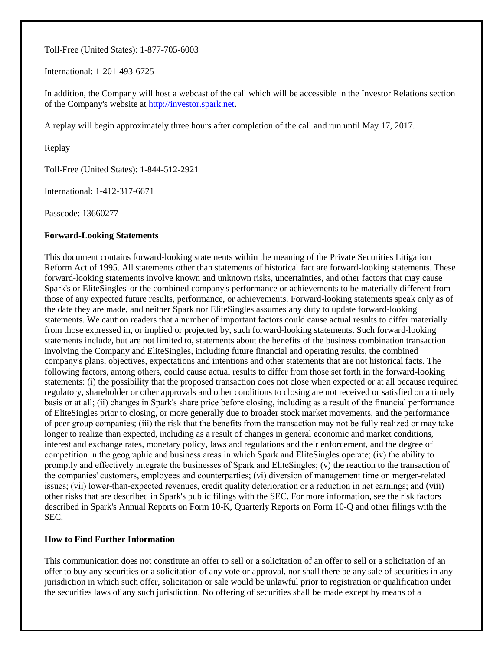Toll-Free (United States): 1-877-705-6003

International: 1-201-493-6725

In addition, the Company will host a webcast of the call which will be accessible in the Investor Relations section of the Company's website at [http://investor.spark.net.](http://pr.report/j6F2lYVx)

A replay will begin approximately three hours after completion of the call and run until May 17, 2017.

Replay

Toll-Free (United States): 1-844-512-2921

International: 1-412-317-6671

Passcode: 13660277

#### **Forward-Looking Statements**

This document contains forward-looking statements within the meaning of the Private Securities Litigation Reform Act of 1995. All statements other than statements of historical fact are forward-looking statements. These forward-looking statements involve known and unknown risks, uncertainties, and other factors that may cause Spark's or EliteSingles' or the combined company's performance or achievements to be materially different from those of any expected future results, performance, or achievements. Forward-looking statements speak only as of the date they are made, and neither Spark nor EliteSingles assumes any duty to update forward-looking statements. We caution readers that a number of important factors could cause actual results to differ materially from those expressed in, or implied or projected by, such forward-looking statements. Such forward-looking statements include, but are not limited to, statements about the benefits of the business combination transaction involving the Company and EliteSingles, including future financial and operating results, the combined company's plans, objectives, expectations and intentions and other statements that are not historical facts. The following factors, among others, could cause actual results to differ from those set forth in the forward-looking statements: (i) the possibility that the proposed transaction does not close when expected or at all because required regulatory, shareholder or other approvals and other conditions to closing are not received or satisfied on a timely basis or at all; (ii) changes in Spark's share price before closing, including as a result of the financial performance of EliteSingles prior to closing, or more generally due to broader stock market movements, and the performance of peer group companies; (iii) the risk that the benefits from the transaction may not be fully realized or may take longer to realize than expected, including as a result of changes in general economic and market conditions, interest and exchange rates, monetary policy, laws and regulations and their enforcement, and the degree of competition in the geographic and business areas in which Spark and EliteSingles operate; (iv) the ability to promptly and effectively integrate the businesses of Spark and EliteSingles; (v) the reaction to the transaction of the companies' customers, employees and counterparties; (vi) diversion of management time on merger-related issues; (vii) lower-than-expected revenues, credit quality deterioration or a reduction in net earnings; and (viii) other risks that are described in Spark's public filings with the SEC. For more information, see the risk factors described in Spark's Annual Reports on Form 10-K, Quarterly Reports on Form 10-Q and other filings with the SEC.

#### **How to Find Further Information**

This communication does not constitute an offer to sell or a solicitation of an offer to sell or a solicitation of an offer to buy any securities or a solicitation of any vote or approval, nor shall there be any sale of securities in any jurisdiction in which such offer, solicitation or sale would be unlawful prior to registration or qualification under the securities laws of any such jurisdiction. No offering of securities shall be made except by means of a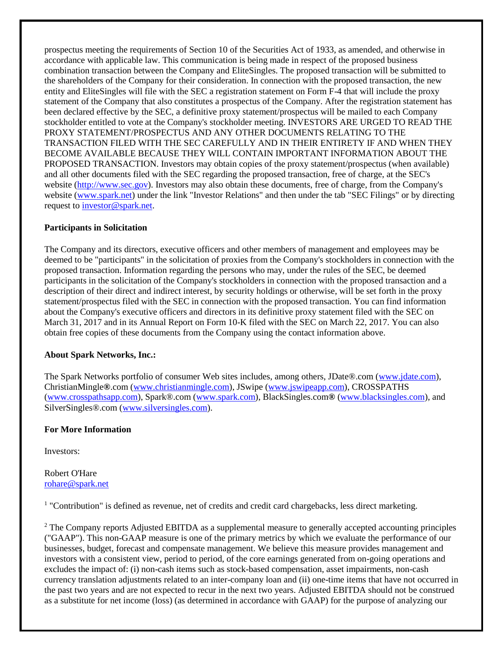prospectus meeting the requirements of Section 10 of the Securities Act of 1933, as amended, and otherwise in accordance with applicable law. This communication is being made in respect of the proposed business combination transaction between the Company and EliteSingles. The proposed transaction will be submitted to the shareholders of the Company for their consideration. In connection with the proposed transaction, the new entity and EliteSingles will file with the SEC a registration statement on Form F-4 that will include the proxy statement of the Company that also constitutes a prospectus of the Company. After the registration statement has been declared effective by the SEC, a definitive proxy statement/prospectus will be mailed to each Company stockholder entitled to vote at the Company's stockholder meeting. INVESTORS ARE URGED TO READ THE PROXY STATEMENT/PROSPECTUS AND ANY OTHER DOCUMENTS RELATING TO THE TRANSACTION FILED WITH THE SEC CAREFULLY AND IN THEIR ENTIRETY IF AND WHEN THEY BECOME AVAILABLE BECAUSE THEY WILL CONTAIN IMPORTANT INFORMATION ABOUT THE PROPOSED TRANSACTION. Investors may obtain copies of the proxy statement/prospectus (when available) and all other documents filed with the SEC regarding the proposed transaction, free of charge, at the SEC's website [\(http://www.sec.gov\)](http://pr.report/IlrQfUP4). Investors may also obtain these documents, free of charge, from the Company's website [\(www.spark.net\)](http://pr.report/sxvbBHQ0) under the link "Investor Relations" and then under the tab "SEC Filings" or by directing request to [investor@spark.net.](mailto:investor@spark.net)

### **Participants in Solicitation**

The Company and its directors, executive officers and other members of management and employees may be deemed to be "participants" in the solicitation of proxies from the Company's stockholders in connection with the proposed transaction. Information regarding the persons who may, under the rules of the SEC, be deemed participants in the solicitation of the Company's stockholders in connection with the proposed transaction and a description of their direct and indirect interest, by security holdings or otherwise, will be set forth in the proxy statement/prospectus filed with the SEC in connection with the proposed transaction. You can find information about the Company's executive officers and directors in its definitive proxy statement filed with the SEC on March 31, 2017 and in its Annual Report on Form 10-K filed with the SEC on March 22, 2017. You can also obtain free copies of these documents from the Company using the contact information above.

### **About Spark Networks, Inc.:**

The Spark Networks portfolio of consumer Web sites includes, among others, JDate®.com [\(www.jdate.com\)](http://pr.report/YRGaWhJc), ChristianMingle**®**.com [\(www.christianmingle.com\)](http://pr.report/UzF25Gwb), JSwipe [\(www.jswipeapp.com\)](http://pr.report/R7VZ9860), CROSSPATHS [\(www.crosspathsapp.com\)](http://pr.report/sW2vrpXB), Spark®.com [\(www.spark.com\)](http://pr.report/oYrCdJv2), BlackSingles.com**®** [\(www.blacksingles.com\)](http://pr.report/40B9L7ov), and SilverSingles®.com [\(www.silversingles.com\)](http://pr.report/RqcoWfB1).

# **For More Information**

Investors:

Robert O'Hare [rohare@spark.net](mailto:rohare@spark.net)

<sup>1</sup> "Contribution" is defined as revenue, net of credits and credit card chargebacks, less direct marketing.

<sup>2</sup> The Company reports Adjusted EBITDA as a supplemental measure to generally accepted accounting principles ("GAAP"). This non-GAAP measure is one of the primary metrics by which we evaluate the performance of our businesses, budget, forecast and compensate management. We believe this measure provides management and investors with a consistent view, period to period, of the core earnings generated from on-going operations and excludes the impact of: (i) non-cash items such as stock-based compensation, asset impairments, non-cash currency translation adjustments related to an inter-company loan and (ii) one-time items that have not occurred in the past two years and are not expected to recur in the next two years. Adjusted EBITDA should not be construed as a substitute for net income (loss) (as determined in accordance with GAAP) for the purpose of analyzing our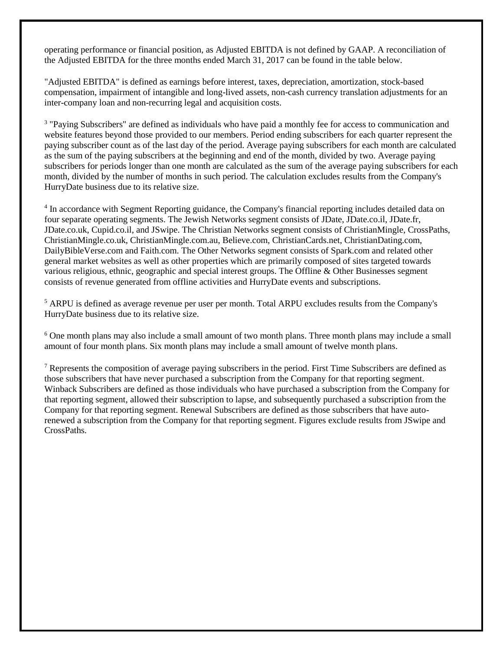operating performance or financial position, as Adjusted EBITDA is not defined by GAAP. A reconciliation of the Adjusted EBITDA for the three months ended March 31, 2017 can be found in the table below.

"Adjusted EBITDA" is defined as earnings before interest, taxes, depreciation, amortization, stock-based compensation, impairment of intangible and long-lived assets, non-cash currency translation adjustments for an inter-company loan and non-recurring legal and acquisition costs.

<sup>3</sup> "Paying Subscribers" are defined as individuals who have paid a monthly fee for access to communication and website features beyond those provided to our members. Period ending subscribers for each quarter represent the paying subscriber count as of the last day of the period. Average paying subscribers for each month are calculated as the sum of the paying subscribers at the beginning and end of the month, divided by two. Average paying subscribers for periods longer than one month are calculated as the sum of the average paying subscribers for each month, divided by the number of months in such period. The calculation excludes results from the Company's HurryDate business due to its relative size.

<sup>4</sup> In accordance with Segment Reporting guidance, the Company's financial reporting includes detailed data on four separate operating segments. The Jewish Networks segment consists of JDate, JDate.co.il, JDate.fr, JDate.co.uk, Cupid.co.il, and JSwipe. The Christian Networks segment consists of ChristianMingle, CrossPaths, ChristianMingle.co.uk, ChristianMingle.com.au, Believe.com, ChristianCards.net, ChristianDating.com, DailyBibleVerse.com and Faith.com. The Other Networks segment consists of Spark.com and related other general market websites as well as other properties which are primarily composed of sites targeted towards various religious, ethnic, geographic and special interest groups. The Offline & Other Businesses segment consists of revenue generated from offline activities and HurryDate events and subscriptions.

<sup>5</sup> ARPU is defined as average revenue per user per month. Total ARPU excludes results from the Company's HurryDate business due to its relative size.

<sup>6</sup> One month plans may also include a small amount of two month plans. Three month plans may include a small amount of four month plans. Six month plans may include a small amount of twelve month plans.

<sup>7</sup> Represents the composition of average paying subscribers in the period. First Time Subscribers are defined as those subscribers that have never purchased a subscription from the Company for that reporting segment. Winback Subscribers are defined as those individuals who have purchased a subscription from the Company for that reporting segment, allowed their subscription to lapse, and subsequently purchased a subscription from the Company for that reporting segment. Renewal Subscribers are defined as those subscribers that have autorenewed a subscription from the Company for that reporting segment. Figures exclude results from JSwipe and CrossPaths.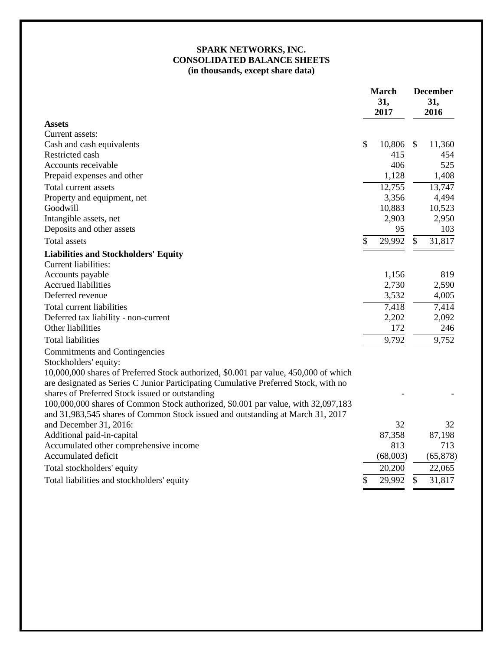# **SPARK NETWORKS, INC. CONSOLIDATED BALANCE SHEETS (in thousands, except share data)**

|                                                                                                                                                                             | <b>March</b><br>31,<br>2017 |    | <b>December</b><br>31,<br>2016 |  |
|-----------------------------------------------------------------------------------------------------------------------------------------------------------------------------|-----------------------------|----|--------------------------------|--|
| <b>Assets</b>                                                                                                                                                               |                             |    |                                |  |
| Current assets:                                                                                                                                                             |                             |    |                                |  |
| Cash and cash equivalents                                                                                                                                                   | \$<br>10,806                | -S | 11,360                         |  |
| Restricted cash                                                                                                                                                             | 415                         |    | 454                            |  |
| Accounts receivable                                                                                                                                                         | 406                         |    | 525                            |  |
| Prepaid expenses and other                                                                                                                                                  | 1,128                       |    | 1,408                          |  |
| Total current assets                                                                                                                                                        | 12,755                      |    | 13,747                         |  |
| Property and equipment, net                                                                                                                                                 | 3,356                       |    | 4,494                          |  |
| Goodwill                                                                                                                                                                    | 10,883                      |    | 10,523                         |  |
| Intangible assets, net                                                                                                                                                      | 2,903                       |    | 2,950                          |  |
| Deposits and other assets                                                                                                                                                   | 95                          |    | 103                            |  |
| Total assets                                                                                                                                                                | \$<br>29,992                | \$ | 31,817                         |  |
| <b>Liabilities and Stockholders' Equity</b>                                                                                                                                 |                             |    |                                |  |
| Current liabilities:                                                                                                                                                        |                             |    |                                |  |
| Accounts payable                                                                                                                                                            | 1,156                       |    | 819                            |  |
| <b>Accrued liabilities</b>                                                                                                                                                  | 2,730                       |    | 2,590                          |  |
| Deferred revenue                                                                                                                                                            | 3,532                       |    | 4,005                          |  |
| Total current liabilities                                                                                                                                                   | 7,418                       |    | $7,\overline{414}$             |  |
| Deferred tax liability - non-current                                                                                                                                        | 2,202                       |    | 2,092                          |  |
| Other liabilities                                                                                                                                                           | 172                         |    | 246                            |  |
| <b>Total liabilities</b>                                                                                                                                                    | 9,792                       |    | 9,752                          |  |
| <b>Commitments and Contingencies</b>                                                                                                                                        |                             |    |                                |  |
| Stockholders' equity:                                                                                                                                                       |                             |    |                                |  |
| 10,000,000 shares of Preferred Stock authorized, \$0.001 par value, 450,000 of which<br>are designated as Series C Junior Participating Cumulative Preferred Stock, with no |                             |    |                                |  |
| shares of Preferred Stock issued or outstanding                                                                                                                             |                             |    |                                |  |
| 100,000,000 shares of Common Stock authorized, \$0.001 par value, with 32,097,183                                                                                           |                             |    |                                |  |
| and 31,983,545 shares of Common Stock issued and outstanding at March 31, 2017                                                                                              |                             |    |                                |  |
| and December 31, 2016:                                                                                                                                                      | 32                          |    | 32                             |  |
| Additional paid-in-capital                                                                                                                                                  | 87,358                      |    | 87,198                         |  |
| Accumulated other comprehensive income                                                                                                                                      | 813                         |    | 713                            |  |
| Accumulated deficit                                                                                                                                                         | (68,003)                    |    | (65, 878)                      |  |
| Total stockholders' equity                                                                                                                                                  | 20,200                      |    | 22,065                         |  |
| Total liabilities and stockholders' equity                                                                                                                                  | \$<br>29,992                | \$ | 31,817                         |  |